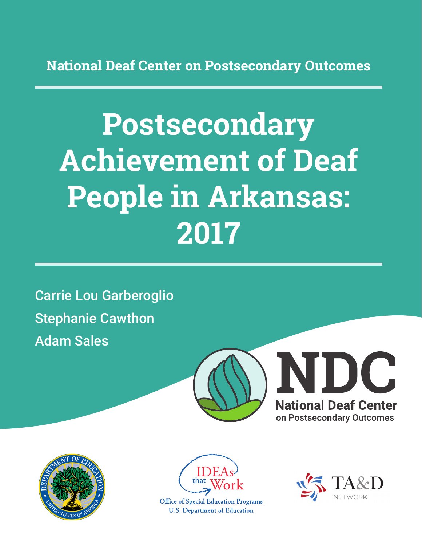**National Deaf Center on Postsecondary Outcomes**

# **Postsecondary Achievement of Deaf People in Arkansas: 2017**

Carrie Lou Garberoglio Stephanie Cawthon Adam Sales







**Office of Special Education Programs U.S. Department of Education** 

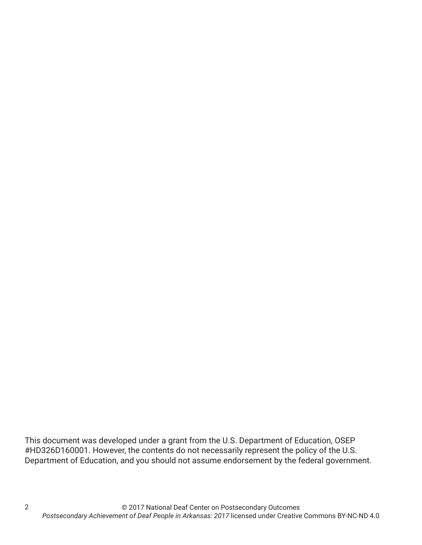This document was developed under a grant from the U.S. Department of Education, OSEP #HD326D160001. However, the contents do not necessarily represent the policy of the U.S. Department of Education, and you should not assume endorsement by the federal government.

2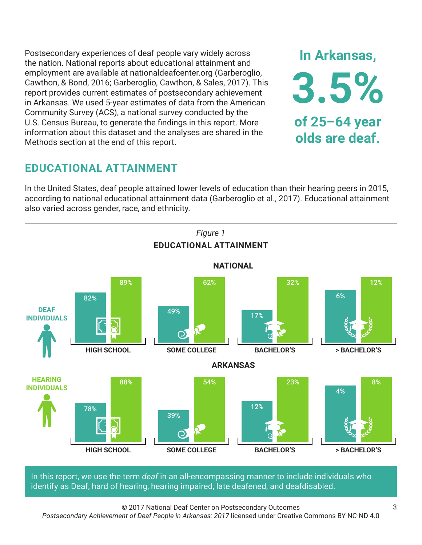Postsecondary experiences of deaf people vary widely across the nation. National reports about educational attainment and employment are available at nationaldeafcenter.org (Garberoglio, Cawthon, & Bond, 2016; Garberoglio, Cawthon, & Sales, 2017). This report provides current estimates of postsecondary achievement in Arkansas. We used 5-year estimates of data from the American Community Survey (ACS), a national survey conducted by the U.S. Census Bureau, to generate the findings in this report. More information about this dataset and the analyses are shared in the Methods section at the end of this report.

# **EDUCATIONAL ATTAINMENT**

In the United States, deaf people attained lower levels of education than their hearing peers in 2015, according to national educational attainment data (Garberoglio et al., 2017). Educational attainment also varied across gender, race, and ethnicity.



In this report, we use the term *deaf* in an all-encompassing manner to include individuals who identify as Deaf, hard of hearing, hearing impaired, late deafened, and deafdisabled.

© 2017 National Deaf Center on Postsecondary Outcomes

*Postsecondary Achievement of Deaf People in Arkansas: 2017* licensed under Creative Commons BY-NC-ND 4.0

**In Arkansas,**

**3.5%**

**of 25–64 year**

**olds are deaf.**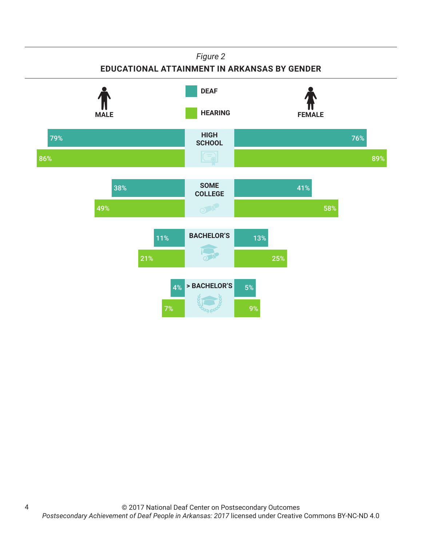#### *Figure 2*

### **EDUCATIONAL ATTAINMENT IN ARKANSAS BY GENDER**



4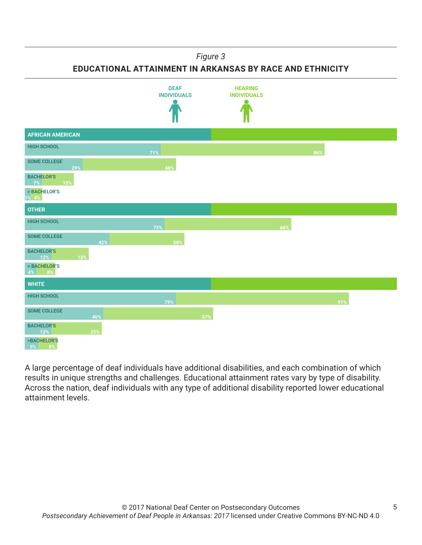#### *Figure 3*

**EDUCATIONAL ATTAINMENT IN ARKANSAS BY RACE AND ETHNICITY**



A large percentage of deaf individuals have additional disabilities, and each combination of which results in unique strengths and challenges. Educational attainment rates vary by type of disability. Across the nation, deaf individuals with any type of additional disability reported lower educational attainment levels.

5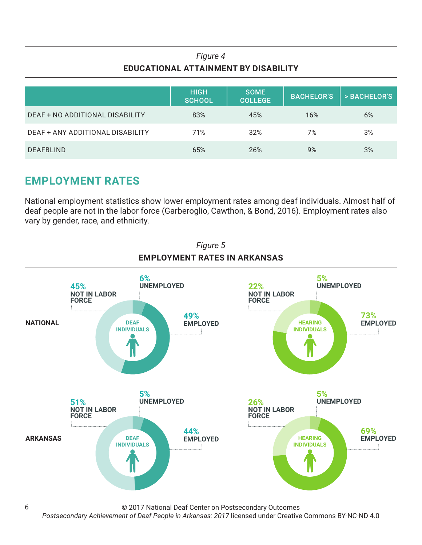## *Figure 4* **EDUCATIONAL ATTAINMENT BY DISABILITY**

|                                  | <b>HIGH</b><br><b>SCHOOL</b> | <b>SOME</b><br><b>COLLEGE</b> | <b>BACHELOR'S</b> | > BACHELOR'S |
|----------------------------------|------------------------------|-------------------------------|-------------------|--------------|
| DEAF + NO ADDITIONAL DISABILITY  | 83%                          | 45%                           | 16%               | 6%           |
| DEAF + ANY ADDITIONAL DISABILITY | 71%                          | 32%                           | 7%                | 3%           |
| <b>DEAFBLIND</b>                 | 65%                          | 26%                           | 9%                | 3%           |

# **EMPLOYMENT RATES**

6

National employment statistics show lower employment rates among deaf individuals. Almost half of deaf people are not in the labor force (Garberoglio, Cawthon, & Bond, 2016). Employment rates also vary by gender, race, and ethnicity.



© 2017 National Deaf Center on Postsecondary Outcomes

*Postsecondary Achievement of Deaf People in Arkansas: 2017* licensed under Creative Commons BY-NC-ND 4.0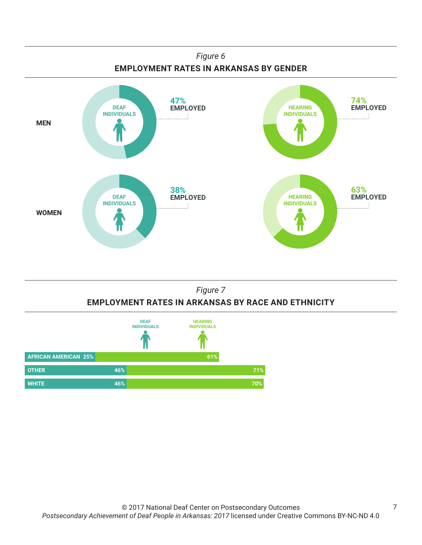

## *Figure 7* **EMPLOYMENT RATES IN ARKANSAS BY RACE AND ETHNICITY**

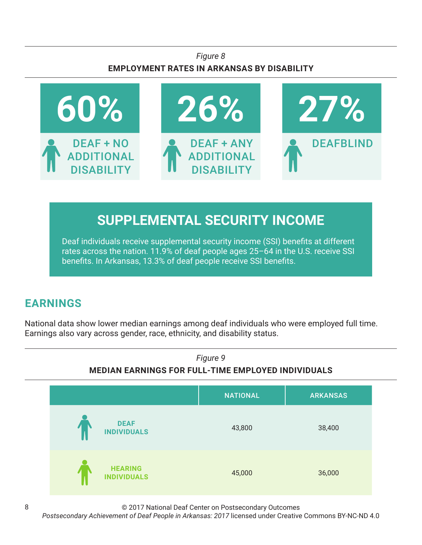## *Figure 8* **EMPLOYMENT RATES IN ARKANSAS BY DISABILITY**



# **SUPPLEMENTAL SECURITY INCOME**

Deaf individuals receive supplemental security income (SSI) benefits at different rates across the nation. 11.9% of deaf people ages 25–64 in the U.S. receive SSI benefits. In Arkansas, 13.3% of deaf people receive SSI benefits.

# **EARNINGS**

National data show lower median earnings among deaf individuals who were employed full time. Earnings also vary across gender, race, ethnicity, and disability status.



© 2017 National Deaf Center on Postsecondary Outcomes

*Postsecondary Achievement of Deaf People in Arkansas: 2017* licensed under Creative Commons BY-NC-ND 4.0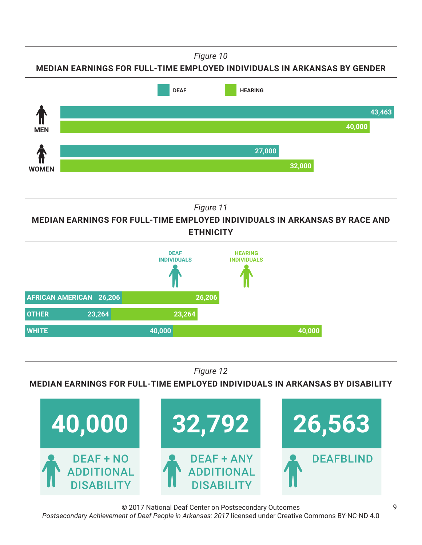*Figure 10*

**MEDIAN EARNINGS FOR FULL-TIME EMPLOYED INDIVIDUALS IN ARKANSAS BY GENDER**



*Figure 11*

**MEDIAN EARNINGS FOR FULL-TIME EMPLOYED INDIVIDUALS IN ARKANSAS BY RACE AND ETHNICITY**



*Figure 12*

**MEDIAN EARNINGS FOR FULL-TIME EMPLOYED INDIVIDUALS IN ARKANSAS BY DISABILITY**



© 2017 National Deaf Center on Postsecondary Outcomes *Postsecondary Achievement of Deaf People in Arkansas: 2017* licensed under Creative Commons BY-NC-ND 4.0